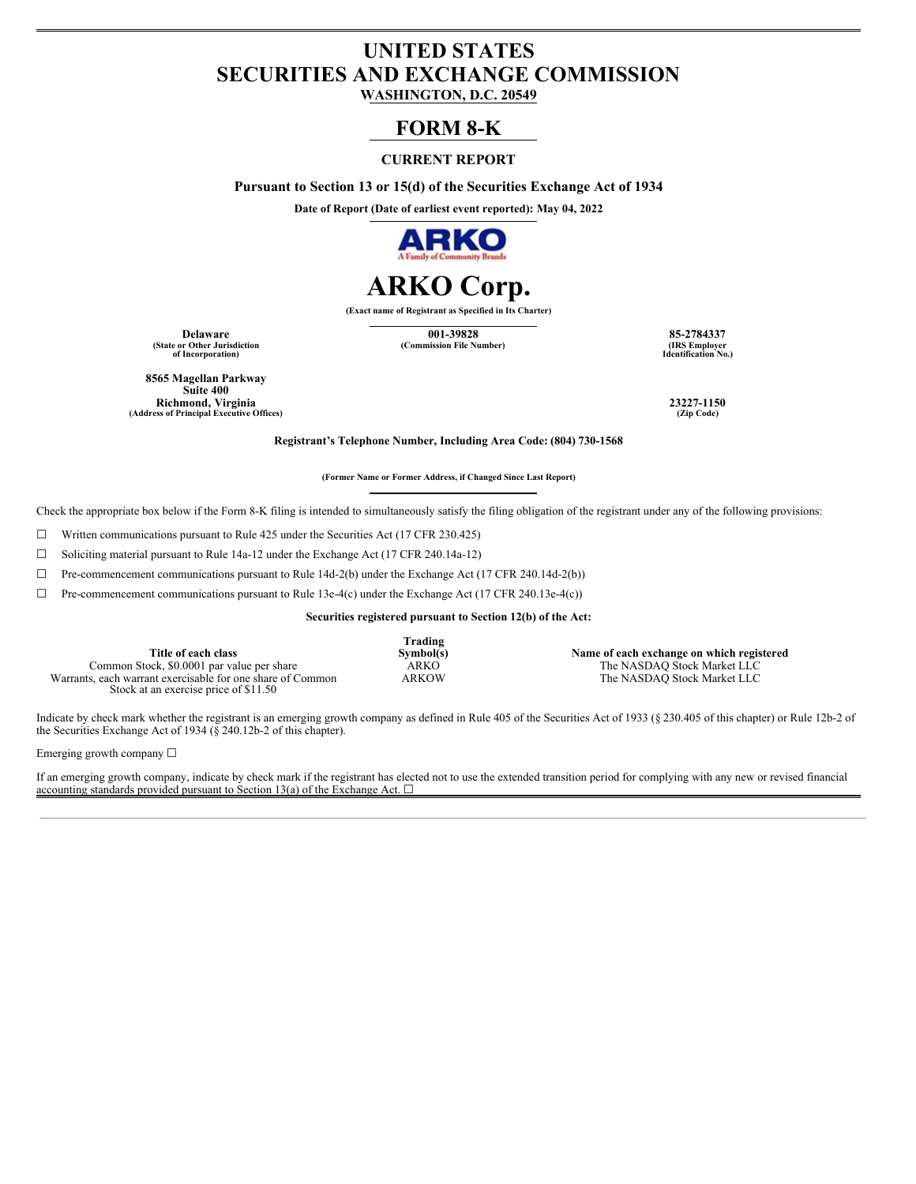# **UNITED STATES SECURITIES AND EXCHANGE COMMISSION**

**WASHINGTON, D.C. 20549**

## **FORM 8-K**

## **CURRENT REPORT**

**Pursuant to Section 13 or 15(d) of the Securities Exchange Act of 1934**

**Date of Report (Date of earliest event reported): May 04, 2022**



# **ARKO Corp.**

**(Exact name of Registrant as Specified in Its Charter)**

**(State or Other Jurisdiction of Incorporation)**

**Delaware 001-39828 85-2784337**  $(Commission File Number)$ 

**Identification No.)**

**8565 Magellan Parkway Suite 400 Richmond, Virginia 23227-1150 (Address of Principal Executive Offices) (Zip Code)**

**Registrant's Telephone Number, Including Area Code: (804) 730-1568**

**(Former Name or Former Address, if Changed Since Last Report)**

Check the appropriate box below if the Form 8-K filing is intended to simultaneously satisfy the filing obligation of the registrant under any of the following provisions:

☐ Written communications pursuant to Rule 425 under the Securities Act (17 CFR 230.425)

☐ Soliciting material pursuant to Rule 14a-12 under the Exchange Act (17 CFR 240.14a-12)

☐ Pre-commencement communications pursuant to Rule 14d-2(b) under the Exchange Act (17 CFR 240.14d-2(b))

 $\Box$  Pre-commencement communications pursuant to Rule 13e-4(c) under the Exchange Act (17 CFR 240.13e-4(c))

**Securities registered pursuant to Section 12(b) of the Act:**

|                                                            | Trading   |                                           |
|------------------------------------------------------------|-----------|-------------------------------------------|
| Title of each class                                        | Symbol(s) | Name of each exchange on which registered |
| Common Stock, \$0,0001 par value per share                 | ARKO      | The NASDAO Stock Market LLC               |
| Warrants, each warrant exercisable for one share of Common | ARKOW     | The NASDAQ Stock Market LLC               |
| Stock at an exercise price of \$11.50                      |           |                                           |

Indicate by check mark whether the registrant is an emerging growth company as defined in Rule 405 of the Securities Act of 1933 (§ 230.405 of this chapter) or Rule 12b-2 of the Securities Exchange Act of 1934 (§ 240.12b-2 of this chapter).

Emerging growth company ☐

If an emerging growth company, indicate by check mark if the registrant has elected not to use the extended transition period for complying with any new or revised financial accounting standards provided pursuant to Section 13(a) of the Exchange Act.  $\square$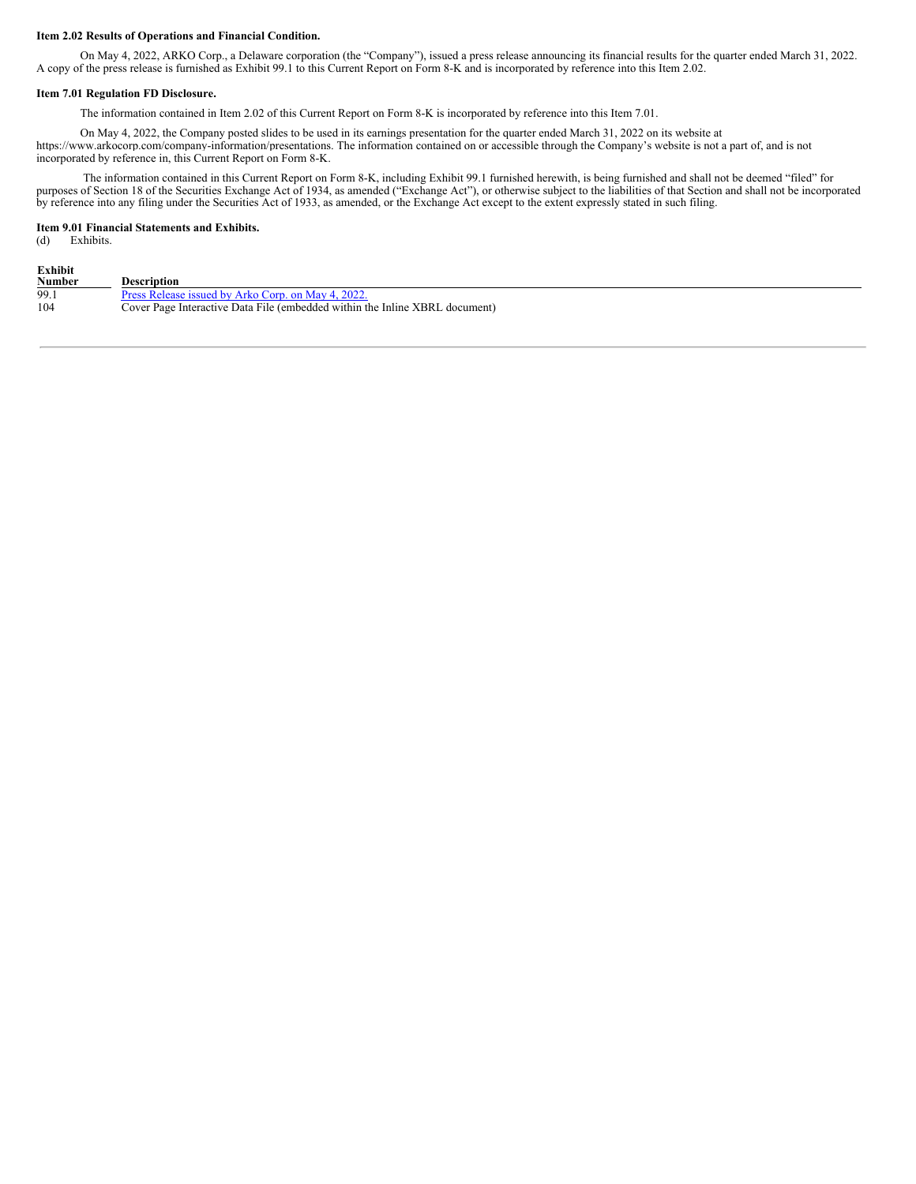#### **Item 2.02 Results of Operations and Financial Condition.**

On May 4, 2022, ARKO Corp., a Delaware corporation (the "Company"), issued a press release announcing its financial results for the quarter ended March 31, 2022. A copy of the press release is furnished as Exhibit 99.1 to this Current Report on Form 8-K and is incorporated by reference into this Item 2.02.

#### **Item 7.01 Regulation FD Disclosure.**

The information contained in Item 2.02 of this Current Report on Form 8-K is incorporated by reference into this Item 7.01.

On May 4, 2022, the Company posted slides to be used in its earnings presentation for the quarter ended March 31, 2022 on its website at https://www.arkocorp.com/company-information/presentations. The information contained on or accessible through the Company's website is not a part of, and is not incorporated by reference in, this Current Report on Form 8-K.

The information contained in this Current Report on Form 8-K, including Exhibit 99.1 furnished herewith, is being furnished and shall not be deemed "filed" for purposes of Section 18 of the Securities Exchange Act of 1934, as amended ("Exchange Act"), or otherwise subject to the liabilities of that Section and shall not be incorporated by reference into any filing under the Securities Act of 1933, as amended, or the Exchange Act except to the extent expressly stated in such filing.

#### **Item 9.01 Financial Statements and Exhibits.**

(d) Exhibits.

| Exhibit |                                                                             |
|---------|-----------------------------------------------------------------------------|
| Number  | <b>Description</b>                                                          |
| 99.1    | Press Release issued by Arko Corp. on May 4, 2022.                          |
| 104     | Cover Page Interactive Data File (embedded within the Inline XBRL document) |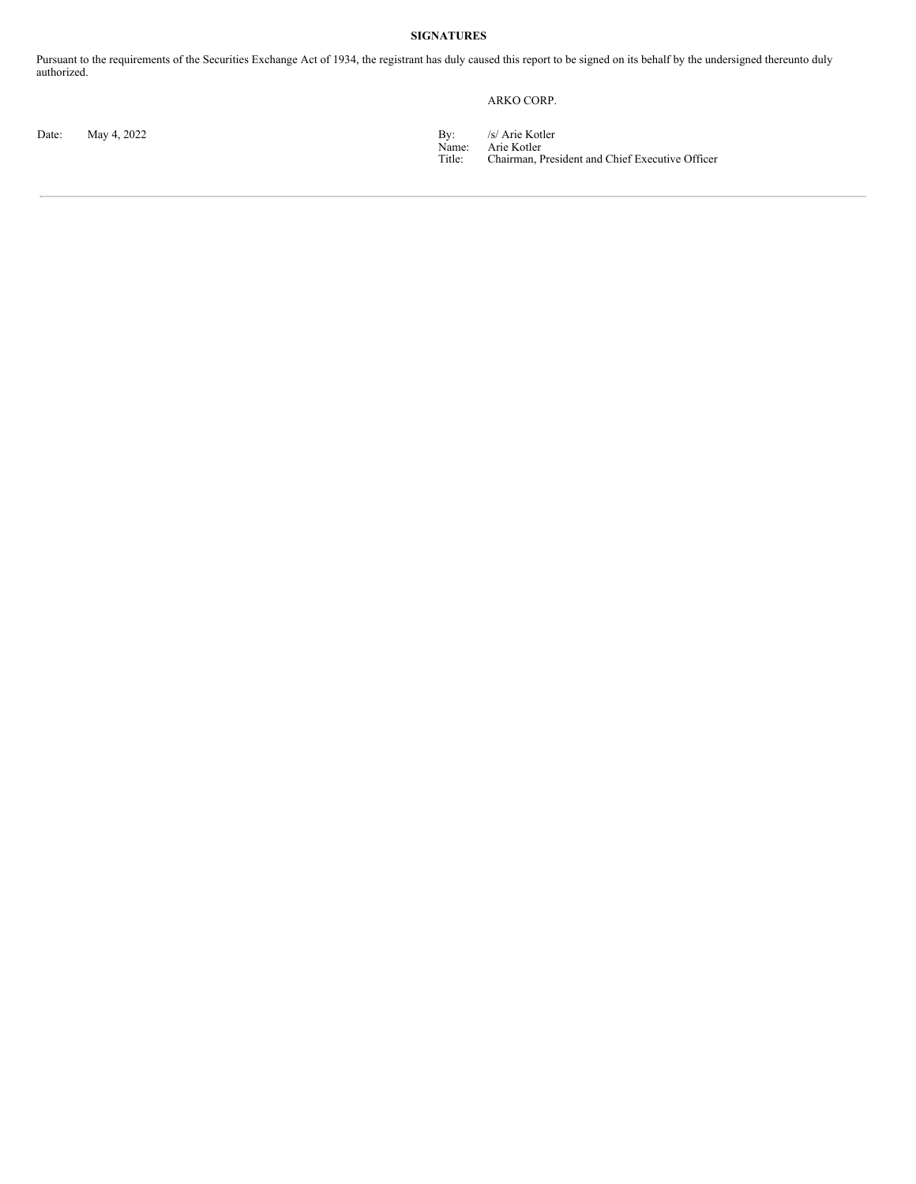#### **SIGNATURES**

Pursuant to the requirements of the Securities Exchange Act of 1934, the registrant has duly caused this report to be signed on its behalf by the undersigned thereunto duly authorized.

## ARKO CORP.

Date: May 4, 2022 **By:** /s/ Arie Kotler

Name: Title: Arie Kotler Chairman, President and Chief Executive Officer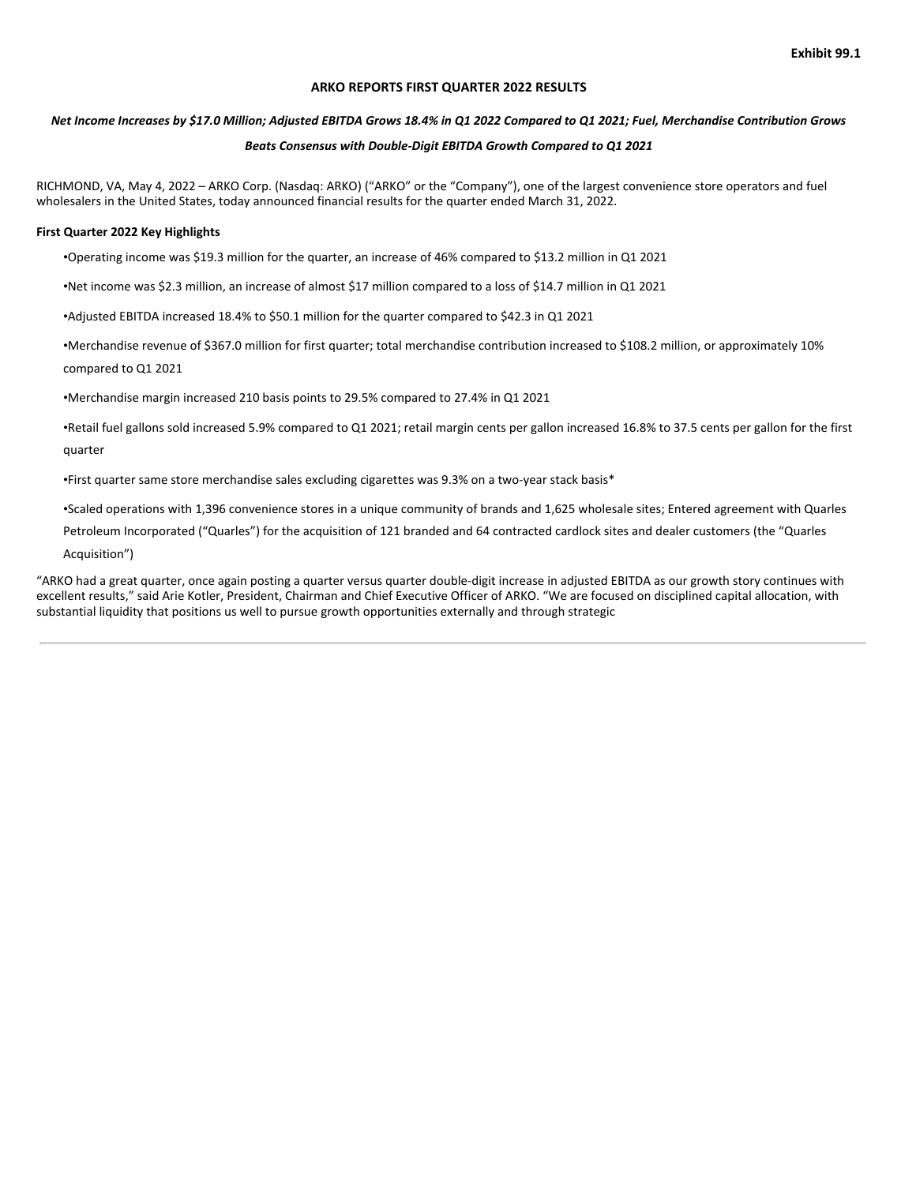#### **ARKO REPORTS FIRST QUARTER 2022 RESULTS**

## Net Income Increases by \$17.0 Million; Adjusted EBITDA Grows 18.4% in Q1 2022 Compared to Q1 2021; Fuel, Merchandise Contribution Grows

### *Beats Consensus with Double-Digit EBITDA Growth Compared to Q1 2021*

RICHMOND, VA, May 4, 2022 – ARKO Corp. (Nasdaq: ARKO) ("ARKO" or the "Company"), one of the largest convenience store operators and fuel wholesalers in the United States, today announced financial results for the quarter ended March 31, 2022.

#### **First Quarter 2022 Key Highlights**

•Operating income was \$19.3 million for the quarter, an increase of 46% compared to \$13.2 million in Q1 2021

•Net income was \$2.3 million, an increase of almost \$17 million compared to a loss of \$14.7 million in Q1 2021

•Adjusted EBITDA increased 18.4% to \$50.1 million for the quarter compared to \$42.3 in Q1 2021

•Merchandise revenue of \$367.0 million for first quarter; total merchandise contribution increased to \$108.2 million, or approximately 10% compared to Q1 2021

•Merchandise margin increased 210 basis points to 29.5% compared to 27.4% in Q1 2021

•Retail fuel gallons sold increased 5.9% compared to Q1 2021; retail margin cents per gallon increased 16.8% to 37.5 cents per gallon for the first quarter

•First quarter same store merchandise sales excluding cigarettes was 9.3% on a two-year stack basis\*

•Scaled operations with 1,396 convenience stores in a unique community of brands and 1,625 wholesale sites; Entered agreement with Quarles

Petroleum Incorporated ("Quarles") for the acquisition of 121 branded and 64 contracted cardlock sites and dealer customers (the "Quarles

Acquisition")

"ARKO had a great quarter, once again posting a quarter versus quarter double-digit increase in adjusted EBITDA as our growth story continues with excellent results," said Arie Kotler, President, Chairman and Chief Executive Officer of ARKO. "We are focused on disciplined capital allocation, with substantial liquidity that positions us well to pursue growth opportunities externally and through strategic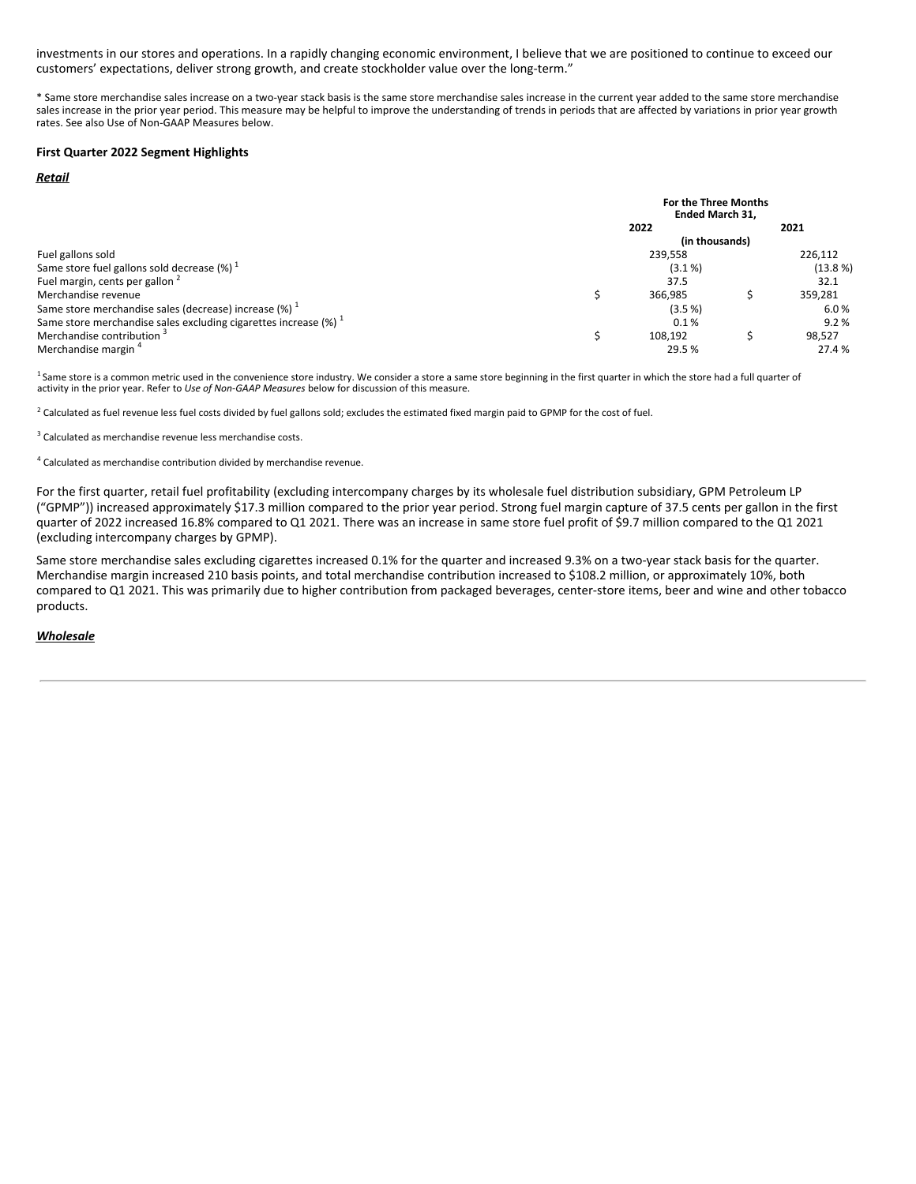investments in our stores and operations. In a rapidly changing economic environment, I believe that we are positioned to continue to exceed our customers' expectations, deliver strong growth, and create stockholder value over the long-term."

\* Same store merchandise sales increase on a two-year stack basis is the same store merchandise sales increase in the current year added to the same store merchandise sales increase in the prior year period. This measure may be helpful to improve the understanding of trends in periods that are affected by variations in prior year growth rates. See also Use of Non-GAAP Measures below.

#### **First Quarter 2022 Segment Highlights**

#### *Retail*

|                                                                               | For the Three Months<br><b>Ended March 31.</b> |                |  |          |
|-------------------------------------------------------------------------------|------------------------------------------------|----------------|--|----------|
|                                                                               |                                                | 2022           |  | 2021     |
|                                                                               |                                                | (in thousands) |  |          |
| Fuel gallons sold                                                             |                                                | 239,558        |  | 226,112  |
| Same store fuel gallons sold decrease $(\%)$ <sup>1</sup>                     | $(3.1\%)$                                      |                |  | (13.8 %) |
| Fuel margin, cents per gallon <sup>2</sup>                                    |                                                | 37.5           |  | 32.1     |
| Merchandise revenue                                                           |                                                | 366,985        |  | 359,281  |
| Same store merchandise sales (decrease) increase $(\%)$ <sup>1</sup>          |                                                | (3.5%          |  | 6.0%     |
| Same store merchandise sales excluding cigarettes increase $(%)$ <sup>1</sup> |                                                | 0.1%           |  | 9.2%     |
| Merchandise contribution                                                      |                                                | 108.192        |  | 98.527   |
| Merchandise margin <sup>4</sup>                                               |                                                | 29.5 %         |  | 27.4 %   |

<sup>1</sup> Same store is a common metric used in the convenience store industry. We consider a store a same store beginning in the first quarter in which the store had a full quarter of<br>activity in the prior year. Refer to *Use o* 1

 $^2$  Calculated as fuel revenue less fuel costs divided by fuel gallons sold; excludes the estimated fixed margin paid to GPMP for the cost of fuel.

<sup>3</sup> Calculated as merchandise revenue less merchandise costs.

 $4$  Calculated as merchandise contribution divided by merchandise revenue.

For the first quarter, retail fuel profitability (excluding intercompany charges by its wholesale fuel distribution subsidiary, GPM Petroleum LP ("GPMP")) increased approximately \$17.3 million compared to the prior year period. Strong fuel margin capture of 37.5 cents per gallon in the first quarter of 2022 increased 16.8% compared to Q1 2021. There was an increase in same store fuel profit of \$9.7 million compared to the Q1 2021 (excluding intercompany charges by GPMP).

Same store merchandise sales excluding cigarettes increased 0.1% for the quarter and increased 9.3% on a two-year stack basis for the quarter. Merchandise margin increased 210 basis points, and total merchandise contribution increased to \$108.2 million, or approximately 10%, both compared to Q1 2021. This was primarily due to higher contribution from packaged beverages, center-store items, beer and wine and other tobacco products.

#### *Wholesale*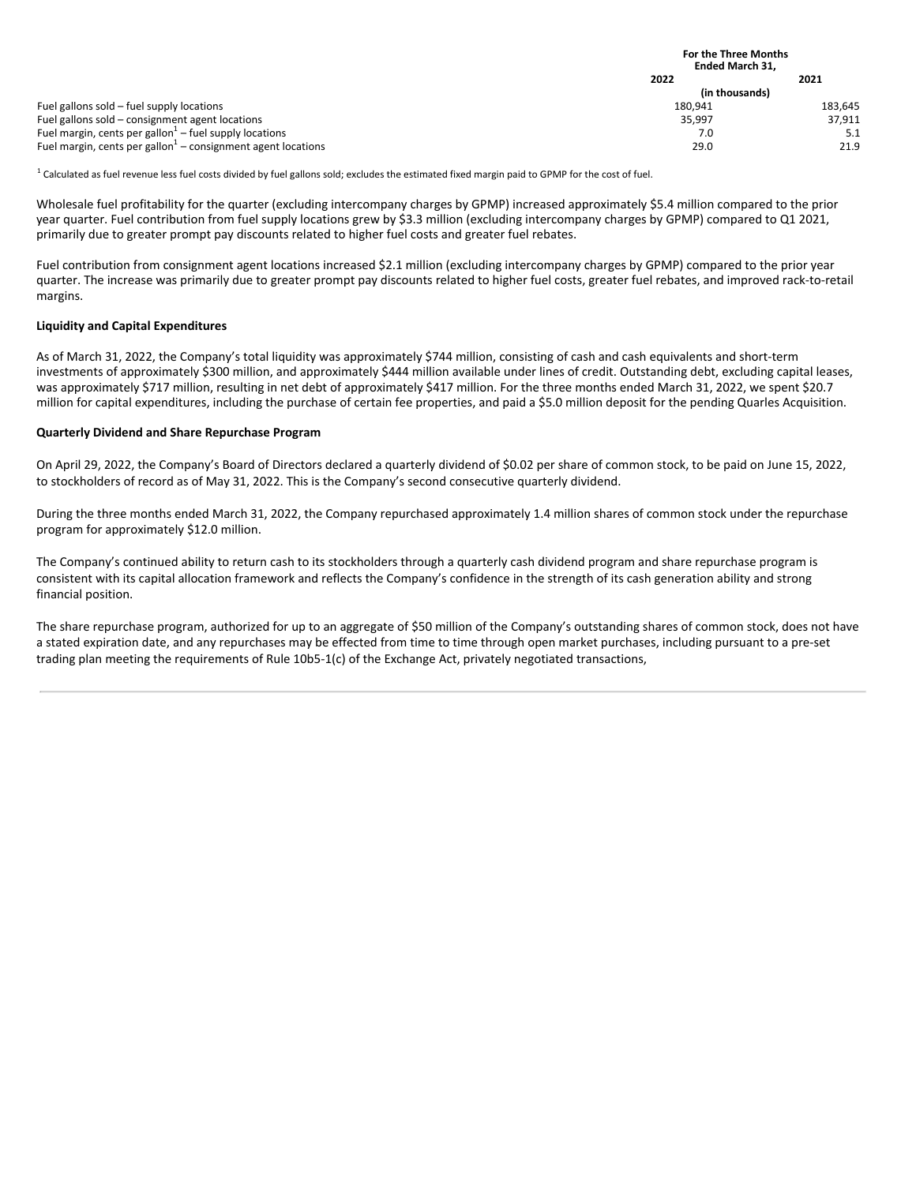|                                                                                       | <b>For the Three Months</b><br><b>Ended March 31.</b> |         |  |
|---------------------------------------------------------------------------------------|-------------------------------------------------------|---------|--|
|                                                                                       | 2022                                                  | 2021    |  |
|                                                                                       | (in thousands)                                        |         |  |
| Fuel gallons sold – fuel supply locations                                             | 180,941                                               | 183.645 |  |
| Fuel gallons sold – consignment agent locations                                       | 35.997                                                | 37.911  |  |
| Fuel margin, cents per gallon $1$ – fuel supply locations                             | 7.0                                                   | 5.1     |  |
| Fuel margin, cents per gallon <sup><math>1</math></sup> – consignment agent locations | 29.0                                                  | 21.9    |  |

 $^1$  Calculated as fuel revenue less fuel costs divided by fuel gallons sold; excludes the estimated fixed margin paid to GPMP for the cost of fuel.

Wholesale fuel profitability for the quarter (excluding intercompany charges by GPMP) increased approximately \$5.4 million compared to the prior year quarter. Fuel contribution from fuel supply locations grew by \$3.3 million (excluding intercompany charges by GPMP) compared to Q1 2021, primarily due to greater prompt pay discounts related to higher fuel costs and greater fuel rebates.

Fuel contribution from consignment agent locations increased \$2.1 million (excluding intercompany charges by GPMP) compared to the prior year quarter. The increase was primarily due to greater prompt pay discounts related to higher fuel costs, greater fuel rebates, and improved rack-to-retail margins.

#### **Liquidity and Capital Expenditures**

As of March 31, 2022, the Company's total liquidity was approximately \$744 million, consisting of cash and cash equivalents and short-term investments of approximately \$300 million, and approximately \$444 million available under lines of credit. Outstanding debt, excluding capital leases, was approximately \$717 million, resulting in net debt of approximately \$417 million. For the three months ended March 31, 2022, we spent \$20.7 million for capital expenditures, including the purchase of certain fee properties, and paid a \$5.0 million deposit for the pending Quarles Acquisition.

#### **Quarterly Dividend and Share Repurchase Program**

On April 29, 2022, the Company's Board of Directors declared a quarterly dividend of \$0.02 per share of common stock, to be paid on June 15, 2022, to stockholders of record as of May 31, 2022. This is the Company's second consecutive quarterly dividend.

During the three months ended March 31, 2022, the Company repurchased approximately 1.4 million shares of common stock under the repurchase program for approximately \$12.0 million.

The Company's continued ability to return cash to its stockholders through a quarterly cash dividend program and share repurchase program is consistent with its capital allocation framework and reflects the Company's confidence in the strength of its cash generation ability and strong financial position.

The share repurchase program, authorized for up to an aggregate of \$50 million of the Company's outstanding shares of common stock, does not have a stated expiration date, and any repurchases may be effected from time to time through open market purchases, including pursuant to a pre-set trading plan meeting the requirements of Rule 10b5-1(c) of the Exchange Act, privately negotiated transactions,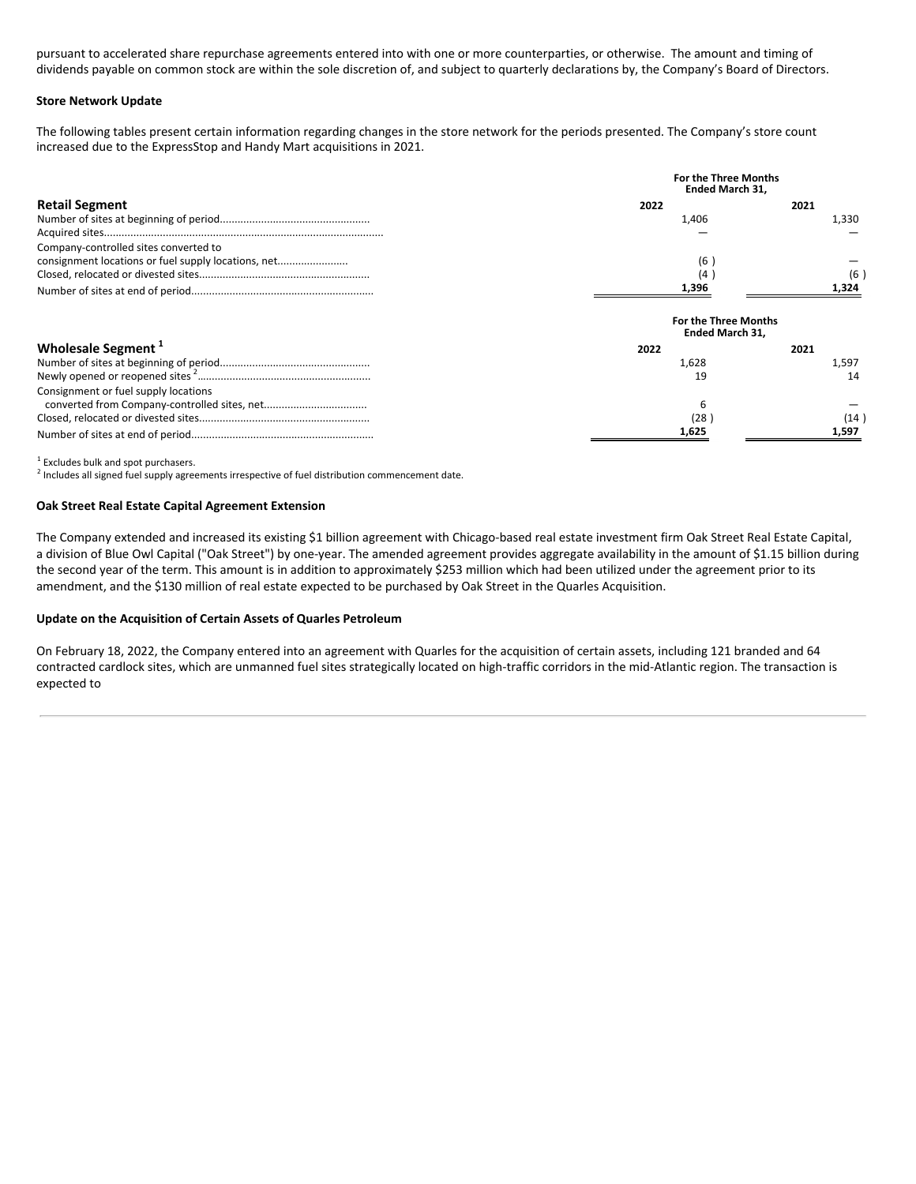pursuant to accelerated share repurchase agreements entered into with one or more counterparties, or otherwise. The amount and timing of dividends payable on common stock are within the sole discretion of, and subject to quarterly declarations by, the Company's Board of Directors.

#### **Store Network Update**

The following tables present certain information regarding changes in the store network for the periods presented. The Company's store count increased due to the ExpressStop and Handy Mart acquisitions in 2021.

|                                                     | <b>For the Three Months</b><br><b>Ended March 31.</b> |       |  |  |
|-----------------------------------------------------|-------------------------------------------------------|-------|--|--|
| <b>Retail Segment</b>                               | 2022                                                  | 2021  |  |  |
|                                                     | 1,406                                                 | 1,330 |  |  |
|                                                     |                                                       |       |  |  |
| Company-controlled sites converted to               |                                                       |       |  |  |
| consignment locations or fuel supply locations, net | (6                                                    |       |  |  |
|                                                     | (4                                                    | (6    |  |  |
|                                                     | 1,396                                                 | 1,324 |  |  |
|                                                     | <b>For the Three Months</b><br><b>Ended March 31.</b> |       |  |  |
| Wholesale Segment <sup>1</sup>                      | 2022                                                  | 2021  |  |  |
|                                                     | 1,628                                                 | 1,597 |  |  |
|                                                     | 19                                                    | 14    |  |  |
| Consignment or fuel supply locations                |                                                       |       |  |  |
|                                                     | 6                                                     |       |  |  |
|                                                     | (28                                                   | (14   |  |  |
|                                                     | 1,625                                                 | 1,597 |  |  |

 $1$  Excludes bulk and spot purchasers.

 $2$  Includes all signed fuel supply agreements irrespective of fuel distribution commencement date.

#### **Oak Street Real Estate Capital Agreement Extension**

The Company extended and increased its existing \$1 billion agreement with Chicago-based real estate investment firm Oak Street Real Estate Capital, a division of Blue Owl Capital ("Oak Street") by one-year. The amended agreement provides aggregate availability in the amount of \$1.15 billion during the second year of the term. This amount is in addition to approximately \$253 million which had been utilized under the agreement prior to its amendment, and the \$130 million of real estate expected to be purchased by Oak Street in the Quarles Acquisition.

#### **Update on the Acquisition of Certain Assets of Quarles Petroleum**

On February 18, 2022, the Company entered into an agreement with Quarles for the acquisition of certain assets, including 121 branded and 64 contracted cardlock sites, which are unmanned fuel sites strategically located on high-traffic corridors in the mid-Atlantic region. The transaction is expected to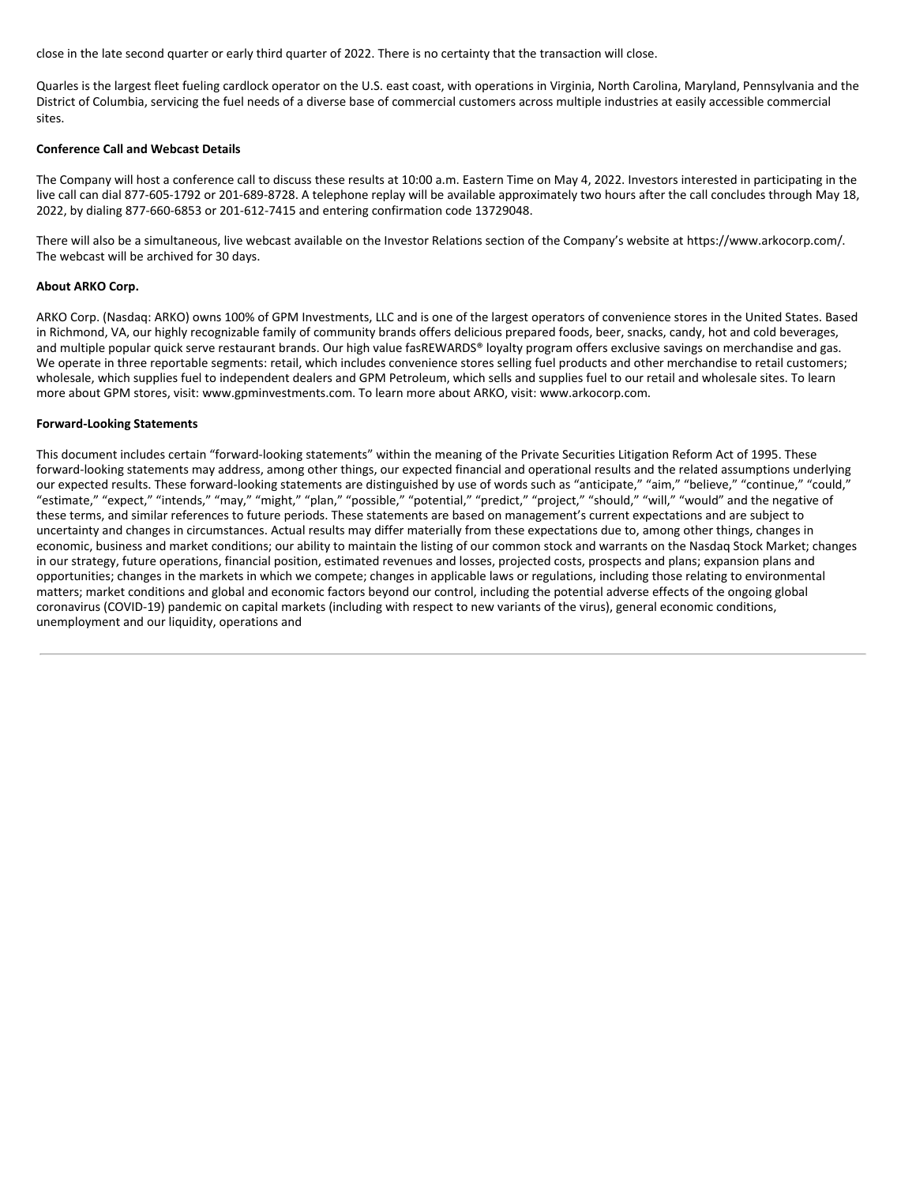close in the late second quarter or early third quarter of 2022. There is no certainty that the transaction will close.

Quarles is the largest fleet fueling cardlock operator on the U.S. east coast, with operations in Virginia, North Carolina, Maryland, Pennsylvania and the District of Columbia, servicing the fuel needs of a diverse base of commercial customers across multiple industries at easily accessible commercial sites.

#### **Conference Call and Webcast Details**

The Company will host a conference call to discuss these results at 10:00 a.m. Eastern Time on May 4, 2022. Investors interested in participating in the live call can dial 877-605-1792 or 201-689-8728. A telephone replay will be available approximately two hours after the call concludes through May 18, 2022, by dialing 877-660-6853 or 201-612-7415 and entering confirmation code 13729048.

There will also be a simultaneous, live webcast available on the Investor Relations section of the Company's website at https://www.arkocorp.com/. The webcast will be archived for 30 days.

#### **About ARKO Corp.**

ARKO Corp. (Nasdaq: ARKO) owns 100% of GPM Investments, LLC and is one of the largest operators of convenience stores in the United States. Based in Richmond, VA, our highly recognizable family of community brands offers delicious prepared foods, beer, snacks, candy, hot and cold beverages, and multiple popular quick serve restaurant brands. Our high value fasREWARDS® loyalty program offers exclusive savings on merchandise and gas. We operate in three reportable segments: retail, which includes convenience stores selling fuel products and other merchandise to retail customers; wholesale, which supplies fuel to independent dealers and GPM Petroleum, which sells and supplies fuel to our retail and wholesale sites. To learn more about GPM stores, visit: www.gpminvestments.com. To learn more about ARKO, visit: www.arkocorp.com.

#### **Forward-Looking Statements**

This document includes certain "forward-looking statements" within the meaning of the Private Securities Litigation Reform Act of 1995. These forward-looking statements may address, among other things, our expected financial and operational results and the related assumptions underlying our expected results. These forward-looking statements are distinguished by use of words such as "anticipate," "aim," "believe," "continue," "could," "estimate," "expect," "intends," "may," "might," "plan," "possible," "potential," "predict," "project," "should," "will," "would" and the negative of these terms, and similar references to future periods. These statements are based on management's current expectations and are subject to uncertainty and changes in circumstances. Actual results may differ materially from these expectations due to, among other things, changes in economic, business and market conditions; our ability to maintain the listing of our common stock and warrants on the Nasdaq Stock Market; changes in our strategy, future operations, financial position, estimated revenues and losses, projected costs, prospects and plans; expansion plans and opportunities; changes in the markets in which we compete; changes in applicable laws or regulations, including those relating to environmental matters; market conditions and global and economic factors beyond our control, including the potential adverse effects of the ongoing global coronavirus (COVID-19) pandemic on capital markets (including with respect to new variants of the virus), general economic conditions, unemployment and our liquidity, operations and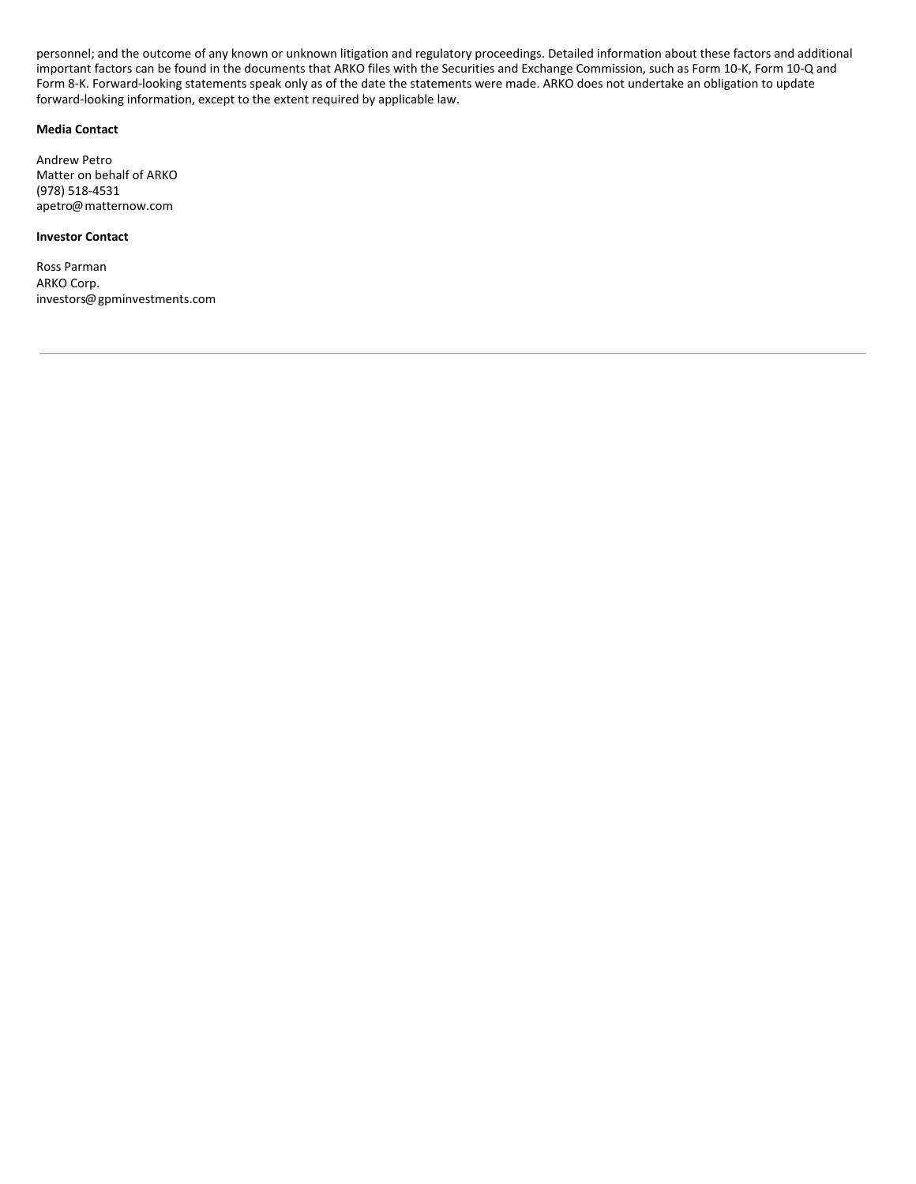<span id="page-9-0"></span>personnel; and the outcome of any known or unknown litigation and regulatory proceedings. Detailed information about these factors and additional important factors can be found in the documents that ARKO files with the Securities and Exchange Commission, such as Form 10-K, Form 10-Q and Form 8-K. Forward-looking statements speak only as of the date the statements were made. ARKO does not undertake an obligation to update forward-looking information, except to the extent required by applicable law.

#### **Media Contact**

Andrew Petro Matter on behalf of ARKO (978) 518-4531 apetro@matternow.com

#### **Investor Contact**

Ross Parman ARKO Corp. investors@gpminvestments.com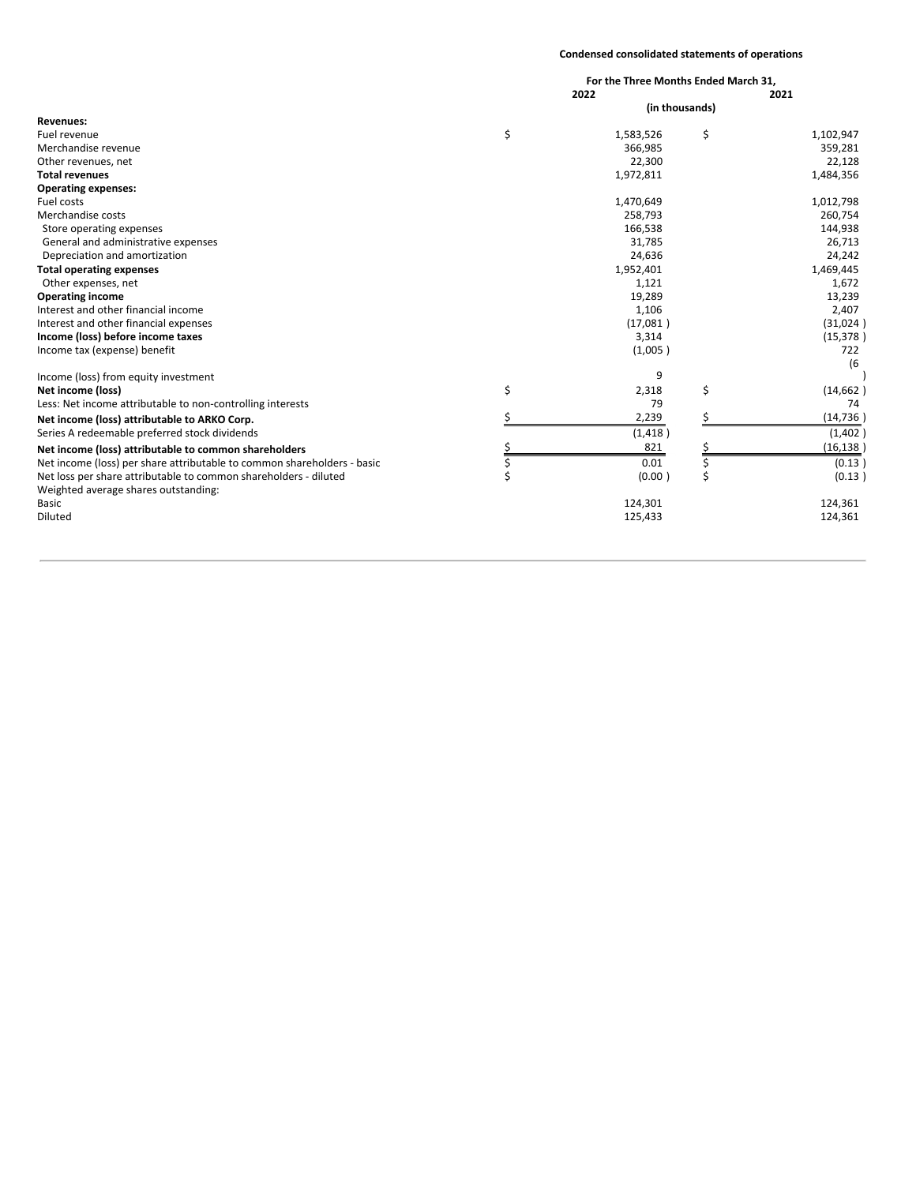#### **Condensed consolidated statements of operations**

|                                                                         | For the Three Months Ended March 31,<br>2022 | 2021 |           |
|-------------------------------------------------------------------------|----------------------------------------------|------|-----------|
|                                                                         | (in thousands)                               |      |           |
| <b>Revenues:</b>                                                        |                                              |      |           |
| Fuel revenue                                                            | \$<br>1,583,526                              | \$   | 1,102,947 |
| Merchandise revenue                                                     | 366,985                                      |      | 359,281   |
| Other revenues, net                                                     | 22,300                                       |      | 22,128    |
| <b>Total revenues</b>                                                   | 1,972,811                                    |      | 1,484,356 |
| <b>Operating expenses:</b>                                              |                                              |      |           |
| Fuel costs                                                              | 1,470,649                                    |      | 1,012,798 |
| Merchandise costs                                                       | 258,793                                      |      | 260,754   |
| Store operating expenses                                                | 166,538                                      |      | 144,938   |
| General and administrative expenses                                     | 31,785                                       |      | 26,713    |
| Depreciation and amortization                                           | 24,636                                       |      | 24,242    |
| <b>Total operating expenses</b>                                         | 1,952,401                                    |      | 1,469,445 |
| Other expenses, net                                                     | 1,121                                        |      | 1,672     |
| <b>Operating income</b>                                                 | 19,289                                       |      | 13,239    |
| Interest and other financial income                                     | 1,106                                        |      | 2,407     |
| Interest and other financial expenses                                   | (17,081)                                     |      | (31,024)  |
| Income (loss) before income taxes                                       | 3,314                                        |      | (15, 378) |
| Income tax (expense) benefit                                            | (1,005)                                      |      | 722       |
|                                                                         |                                              |      | (6)       |
| Income (loss) from equity investment                                    | 9                                            |      |           |
| Net income (loss)                                                       | \$<br>2,318                                  | \$   | (14, 662) |
| Less: Net income attributable to non-controlling interests              | 79                                           |      | 74        |
| Net income (loss) attributable to ARKO Corp.                            | 2,239                                        |      | (14, 736) |
| Series A redeemable preferred stock dividends                           | (1, 418)                                     |      | (1,402)   |
| Net income (loss) attributable to common shareholders                   | 821                                          |      | (16, 138) |
| Net income (loss) per share attributable to common shareholders - basic | \$<br>0.01                                   | \$   | (0.13)    |
| Net loss per share attributable to common shareholders - diluted        | (0.00)                                       | \$   | (0.13)    |
| Weighted average shares outstanding:                                    |                                              |      |           |
| <b>Basic</b>                                                            | 124,301                                      |      | 124,361   |
| Diluted                                                                 | 125,433                                      |      | 124,361   |
|                                                                         |                                              |      |           |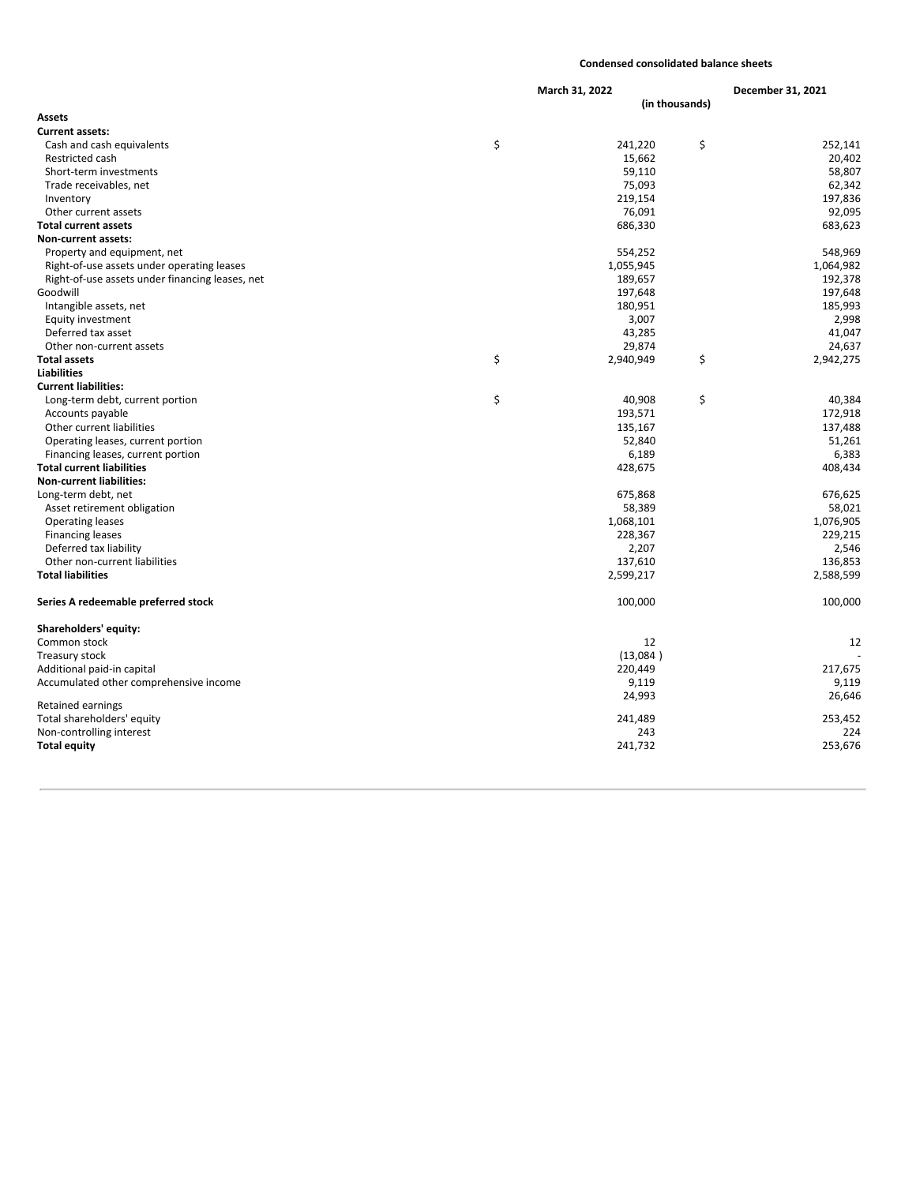#### **Condensed consolidated balance sheets**

|                                                 | March 31, 2022 |           |                | December 31, 2021 |  |
|-------------------------------------------------|----------------|-----------|----------------|-------------------|--|
|                                                 |                |           | (in thousands) |                   |  |
| Assets                                          |                |           |                |                   |  |
| <b>Current assets:</b>                          |                |           |                |                   |  |
| Cash and cash equivalents                       | \$             | 241,220   | \$             | 252,141           |  |
| <b>Restricted cash</b>                          |                | 15,662    |                | 20,402            |  |
| Short-term investments                          |                | 59,110    |                | 58,807            |  |
| Trade receivables, net                          |                | 75,093    |                | 62,342            |  |
| Inventory                                       |                | 219,154   |                | 197,836           |  |
| Other current assets                            |                | 76,091    |                | 92,095            |  |
| <b>Total current assets</b>                     |                | 686,330   |                | 683,623           |  |
| <b>Non-current assets:</b>                      |                |           |                |                   |  |
| Property and equipment, net                     |                | 554,252   |                | 548,969           |  |
| Right-of-use assets under operating leases      |                | 1,055,945 |                | 1,064,982         |  |
| Right-of-use assets under financing leases, net |                | 189,657   |                | 192,378           |  |
| Goodwill                                        |                | 197,648   |                | 197,648           |  |
| Intangible assets, net                          |                | 180,951   |                | 185,993           |  |
| Equity investment                               |                | 3,007     |                | 2,998             |  |
| Deferred tax asset                              |                | 43,285    |                | 41,047            |  |
| Other non-current assets                        |                | 29,874    |                | 24,637            |  |
| <b>Total assets</b>                             | \$             | 2,940,949 | \$             | 2,942,275         |  |
| <b>Liabilities</b>                              |                |           |                |                   |  |
| <b>Current liabilities:</b>                     |                |           |                |                   |  |
| Long-term debt, current portion                 | \$             | 40,908    | \$             | 40,384            |  |
| Accounts payable                                |                | 193,571   |                | 172,918           |  |
| Other current liabilities                       |                | 135,167   |                | 137,488           |  |
| Operating leases, current portion               |                | 52,840    |                | 51,261            |  |
| Financing leases, current portion               |                | 6,189     |                | 6,383             |  |
| <b>Total current liabilities</b>                |                | 428,675   |                | 408,434           |  |
| <b>Non-current liabilities:</b>                 |                |           |                |                   |  |
| Long-term debt, net                             |                | 675,868   |                | 676,625           |  |
| Asset retirement obligation                     |                | 58,389    |                | 58,021            |  |
| <b>Operating leases</b>                         |                | 1,068,101 |                | 1,076,905         |  |
| <b>Financing leases</b>                         |                | 228,367   |                | 229,215           |  |
| Deferred tax liability                          |                | 2,207     |                | 2,546             |  |
| Other non-current liabilities                   |                | 137,610   |                | 136,853           |  |
| <b>Total liabilities</b>                        |                | 2,599,217 |                | 2,588,599         |  |
| Series A redeemable preferred stock             |                | 100,000   |                | 100,000           |  |
| Shareholders' equity:                           |                |           |                |                   |  |
| Common stock                                    |                | 12        |                | 12                |  |
| Treasury stock                                  |                | (13,084)  |                |                   |  |
| Additional paid-in capital                      |                | 220,449   |                | 217,675           |  |
| Accumulated other comprehensive income          |                | 9,119     |                | 9,119             |  |
|                                                 |                | 24,993    |                | 26,646            |  |
| Retained earnings                               |                |           |                |                   |  |
| Total shareholders' equity                      |                | 241,489   |                | 253,452           |  |
| Non-controlling interest                        |                | 243       |                | 224               |  |
| <b>Total equity</b>                             |                | 241,732   |                | 253,676           |  |
|                                                 |                |           |                |                   |  |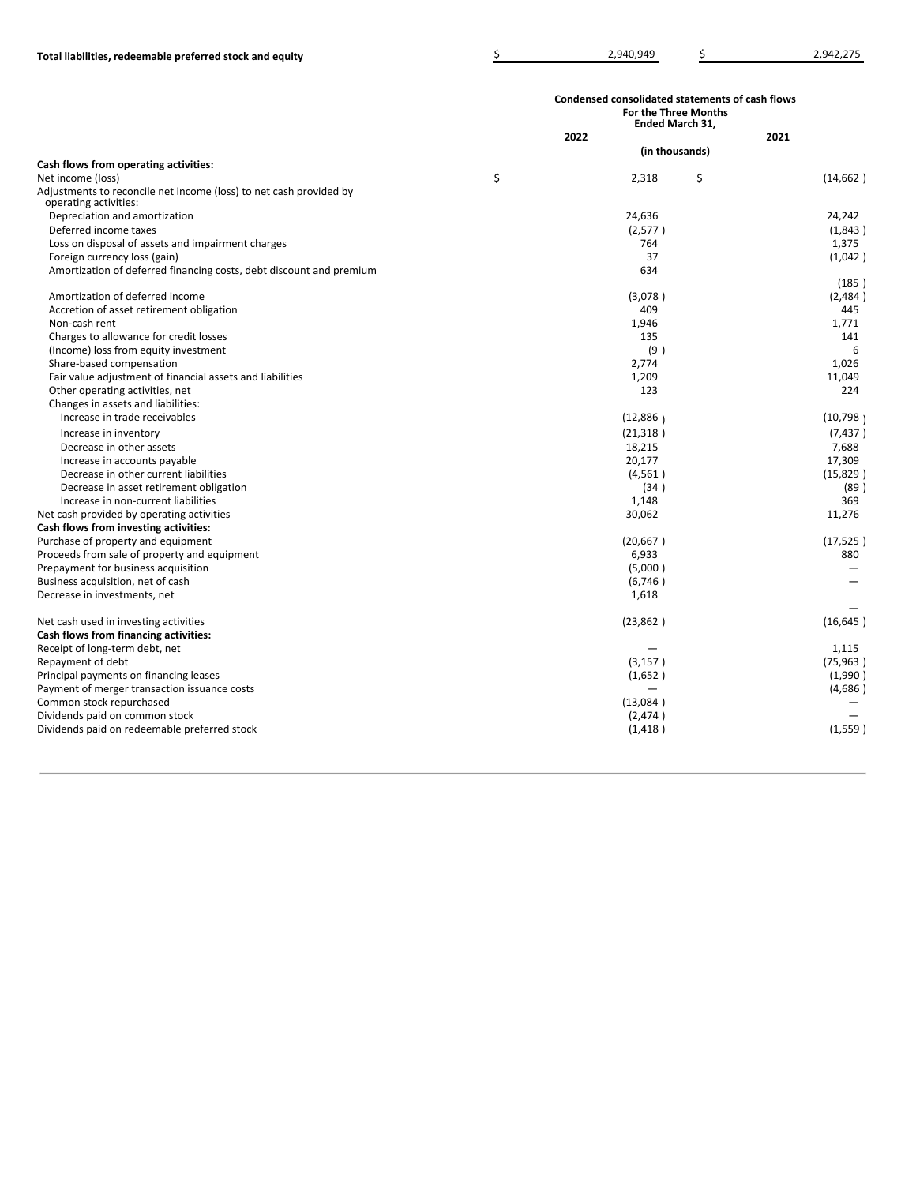|                                                                                             | Condensed consolidated statements of cash flows<br><b>For the Three Months</b><br><b>Ended March 31,</b> |                |    |           |
|---------------------------------------------------------------------------------------------|----------------------------------------------------------------------------------------------------------|----------------|----|-----------|
|                                                                                             |                                                                                                          | 2022           |    | 2021      |
|                                                                                             |                                                                                                          | (in thousands) |    |           |
| Cash flows from operating activities:                                                       |                                                                                                          |                |    |           |
| Net income (loss)                                                                           | \$                                                                                                       | 2,318          | \$ | (14, 662) |
| Adjustments to reconcile net income (loss) to net cash provided by<br>operating activities: |                                                                                                          |                |    |           |
| Depreciation and amortization                                                               |                                                                                                          | 24,636         |    | 24,242    |
| Deferred income taxes                                                                       |                                                                                                          | (2,577)        |    | (1,843)   |
| Loss on disposal of assets and impairment charges                                           |                                                                                                          | 764            |    | 1,375     |
| Foreign currency loss (gain)                                                                |                                                                                                          | 37             |    | (1,042)   |
| Amortization of deferred financing costs, debt discount and premium                         |                                                                                                          | 634            |    |           |
|                                                                                             |                                                                                                          |                |    | (185)     |
| Amortization of deferred income                                                             |                                                                                                          | (3,078)        |    | (2,484)   |
| Accretion of asset retirement obligation                                                    |                                                                                                          | 409            |    | 445       |
| Non-cash rent                                                                               |                                                                                                          | 1,946          |    | 1,771     |
| Charges to allowance for credit losses                                                      |                                                                                                          | 135            |    | 141       |
| (Income) loss from equity investment                                                        |                                                                                                          | (9)            |    | 6         |
| Share-based compensation                                                                    |                                                                                                          | 2,774          |    | 1,026     |
| Fair value adjustment of financial assets and liabilities                                   |                                                                                                          | 1,209          |    | 11,049    |
| Other operating activities, net                                                             |                                                                                                          | 123            |    | 224       |
| Changes in assets and liabilities:                                                          |                                                                                                          |                |    |           |
| Increase in trade receivables                                                               |                                                                                                          | (12,886)       |    | (10, 798) |
| Increase in inventory                                                                       |                                                                                                          | (21, 318)      |    | (7, 437)  |
| Decrease in other assets                                                                    |                                                                                                          | 18,215         |    | 7,688     |
| Increase in accounts payable                                                                |                                                                                                          | 20,177         |    | 17,309    |
| Decrease in other current liabilities                                                       |                                                                                                          | (4,561)        |    | (15, 829) |
| Decrease in asset retirement obligation                                                     |                                                                                                          | (34)           |    | (89)      |
| Increase in non-current liabilities                                                         |                                                                                                          | 1,148          |    | 369       |
| Net cash provided by operating activities                                                   |                                                                                                          | 30,062         |    | 11,276    |
| Cash flows from investing activities:                                                       |                                                                                                          |                |    |           |
| Purchase of property and equipment                                                          |                                                                                                          | (20, 667)      |    | (17, 525) |
| Proceeds from sale of property and equipment                                                |                                                                                                          | 6,933          |    | 880       |
| Prepayment for business acquisition                                                         |                                                                                                          | (5,000)        |    |           |
| Business acquisition, net of cash                                                           |                                                                                                          | (6,746)        |    |           |
| Decrease in investments, net                                                                |                                                                                                          | 1,618          |    |           |
| Net cash used in investing activities                                                       |                                                                                                          | (23, 862)      |    | (16, 645) |
| Cash flows from financing activities:                                                       |                                                                                                          |                |    |           |
| Receipt of long-term debt, net                                                              |                                                                                                          |                |    | 1.115     |
| Repayment of debt                                                                           |                                                                                                          | (3, 157)       |    | (75, 963) |
| Principal payments on financing leases                                                      |                                                                                                          | (1,652)        |    | (1,990)   |
| Payment of merger transaction issuance costs                                                |                                                                                                          |                |    | (4,686)   |
| Common stock repurchased                                                                    |                                                                                                          | (13,084)       |    |           |
| Dividends paid on common stock                                                              |                                                                                                          | (2,474)        |    |           |
| Dividends paid on redeemable preferred stock                                                |                                                                                                          | (1, 418)       |    | (1,559)   |
|                                                                                             |                                                                                                          |                |    |           |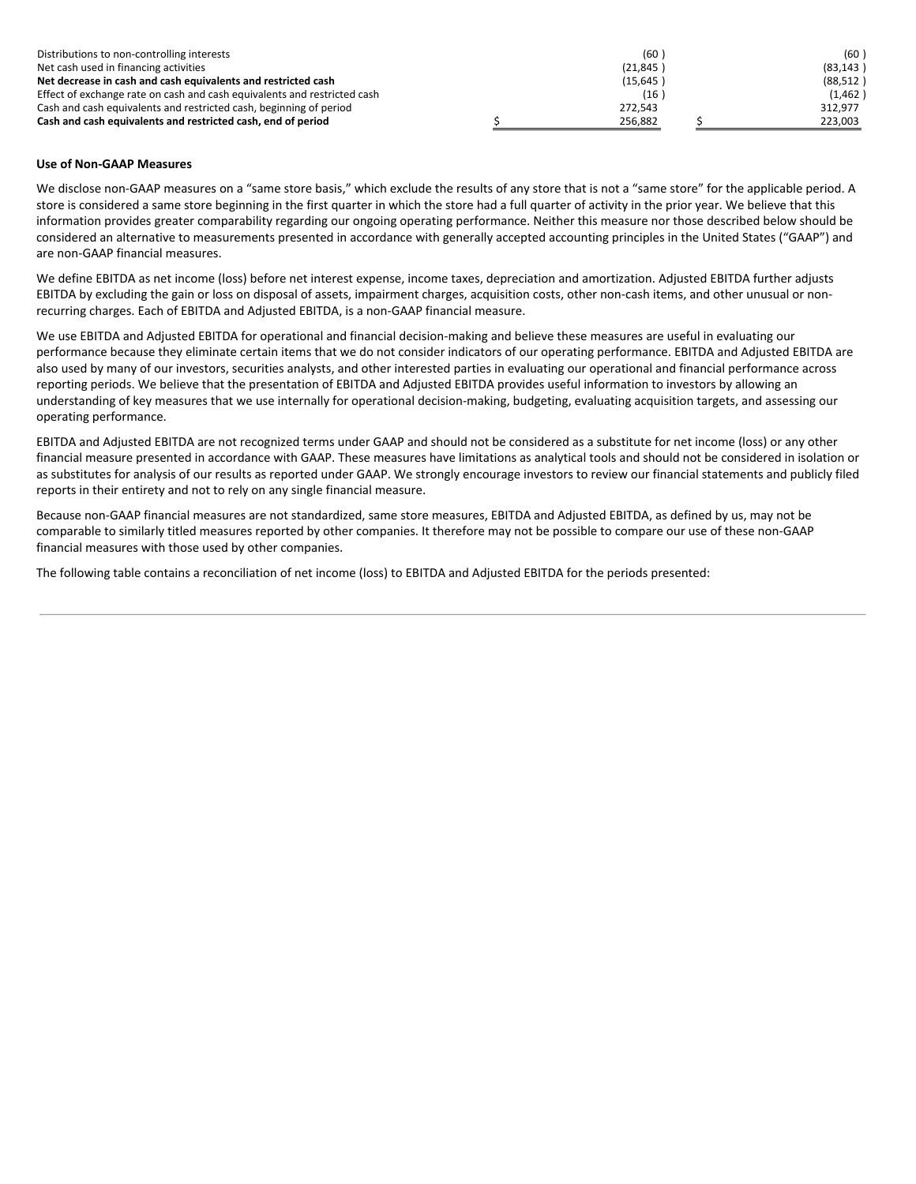| Distributions to non-controlling interests                               |           | (60)      |  | (60)      |
|--------------------------------------------------------------------------|-----------|-----------|--|-----------|
| Net cash used in financing activities                                    | (21, 845) |           |  | (83, 143) |
| Net decrease in cash and cash equivalents and restricted cash            |           | (15, 645) |  | (88, 512) |
| Effect of exchange rate on cash and cash equivalents and restricted cash |           | (16)      |  | (1,462)   |
| Cash and cash equivalents and restricted cash, beginning of period       |           | 272,543   |  | 312.977   |
| Cash and cash equivalents and restricted cash, end of period             |           | 256.882   |  | 223.003   |

#### **Use of Non-GAAP Measures**

We disclose non-GAAP measures on a "same store basis," which exclude the results of any store that is not a "same store" for the applicable period. A store is considered a same store beginning in the first quarter in which the store had a full quarter of activity in the prior year. We believe that this information provides greater comparability regarding our ongoing operating performance. Neither this measure nor those described below should be considered an alternative to measurements presented in accordance with generally accepted accounting principles in the United States ("GAAP") and are non-GAAP financial measures.

We define EBITDA as net income (loss) before net interest expense, income taxes, depreciation and amortization. Adjusted EBITDA further adjusts EBITDA by excluding the gain or loss on disposal of assets, impairment charges, acquisition costs, other non-cash items, and other unusual or nonrecurring charges. Each of EBITDA and Adjusted EBITDA, is a non-GAAP financial measure.

We use EBITDA and Adjusted EBITDA for operational and financial decision-making and believe these measures are useful in evaluating our performance because they eliminate certain items that we do not consider indicators of our operating performance. EBITDA and Adjusted EBITDA are also used by many of our investors, securities analysts, and other interested parties in evaluating our operational and financial performance across reporting periods. We believe that the presentation of EBITDA and Adjusted EBITDA provides useful information to investors by allowing an understanding of key measures that we use internally for operational decision-making, budgeting, evaluating acquisition targets, and assessing our operating performance.

EBITDA and Adjusted EBITDA are not recognized terms under GAAP and should not be considered as a substitute for net income (loss) or any other financial measure presented in accordance with GAAP. These measures have limitations as analytical tools and should not be considered in isolation or as substitutes for analysis of our results as reported under GAAP. We strongly encourage investors to review our financial statements and publicly filed reports in their entirety and not to rely on any single financial measure.

Because non-GAAP financial measures are not standardized, same store measures, EBITDA and Adjusted EBITDA, as defined by us, may not be comparable to similarly titled measures reported by other companies. It therefore may not be possible to compare our use of these non-GAAP financial measures with those used by other companies.

The following table contains a reconciliation of net income (loss) to EBITDA and Adjusted EBITDA for the periods presented: